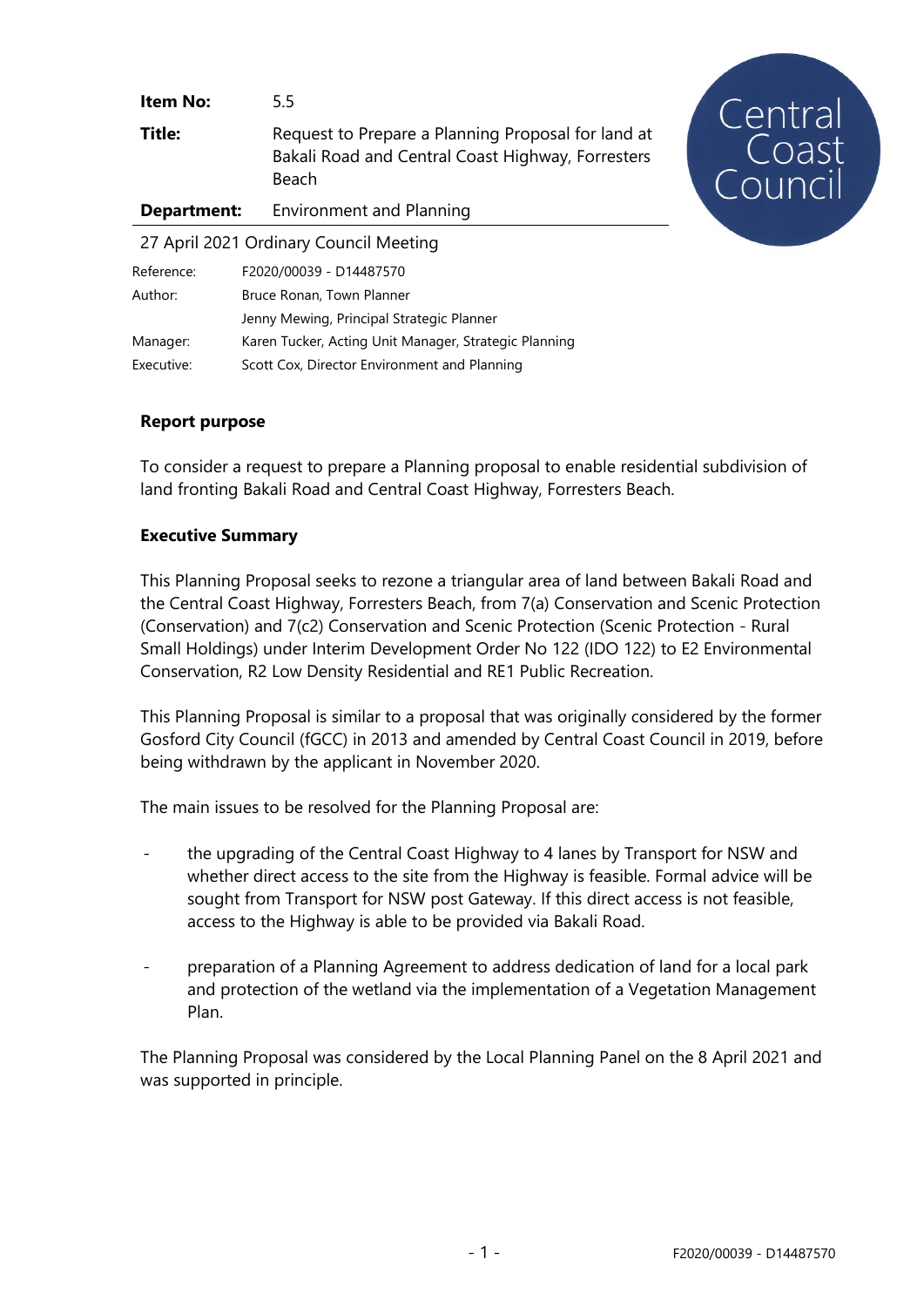| <b>Item No:</b>                        | $5.5^{\circ}$                                                                                                    |
|----------------------------------------|------------------------------------------------------------------------------------------------------------------|
| Title:                                 | Request to Prepare a Planning Proposal for land at<br>Bakali Road and Central Coast Highway, Forresters<br>Beach |
| Department:                            | <b>Environment and Planning</b>                                                                                  |
| 27 April 2021 Ordinary Council Meeting |                                                                                                                  |
| Reference:<br>$\sim$                   | F2020/00039 - D14487570                                                                                          |

| Author:    | Bruce Ronan, Town Planner                             |
|------------|-------------------------------------------------------|
|            | Jenny Mewing, Principal Strategic Planner             |
| Manager:   | Karen Tucker, Acting Unit Manager, Strategic Planning |
| Executive: | Scott Cox, Director Environment and Planning          |

### **Report purpose**

To consider a request to prepare a Planning proposal to enable residential subdivision of land fronting Bakali Road and Central Coast Highway, Forresters Beach.

#### **Executive Summary**

This Planning Proposal seeks to rezone a triangular area of land between Bakali Road and the Central Coast Highway, Forresters Beach, from 7(a) Conservation and Scenic Protection (Conservation) and 7(c2) Conservation and Scenic Protection (Scenic Protection - Rural Small Holdings) under Interim Development Order No 122 (IDO 122) to E2 Environmental Conservation, R2 Low Density Residential and RE1 Public Recreation.

This Planning Proposal is similar to a proposal that was originally considered by the former Gosford City Council (fGCC) in 2013 and amended by Central Coast Council in 2019, before being withdrawn by the applicant in November 2020.

The main issues to be resolved for the Planning Proposal are:

- the upgrading of the Central Coast Highway to 4 lanes by Transport for NSW and whether direct access to the site from the Highway is feasible. Formal advice will be sought from Transport for NSW post Gateway. If this direct access is not feasible, access to the Highway is able to be provided via Bakali Road.
- preparation of a Planning Agreement to address dedication of land for a local park and protection of the wetland via the implementation of a Vegetation Management Plan.

The Planning Proposal was considered by the Local Planning Panel on the 8 April 2021 and was supported in principle.

Central<br>Coast<br>Council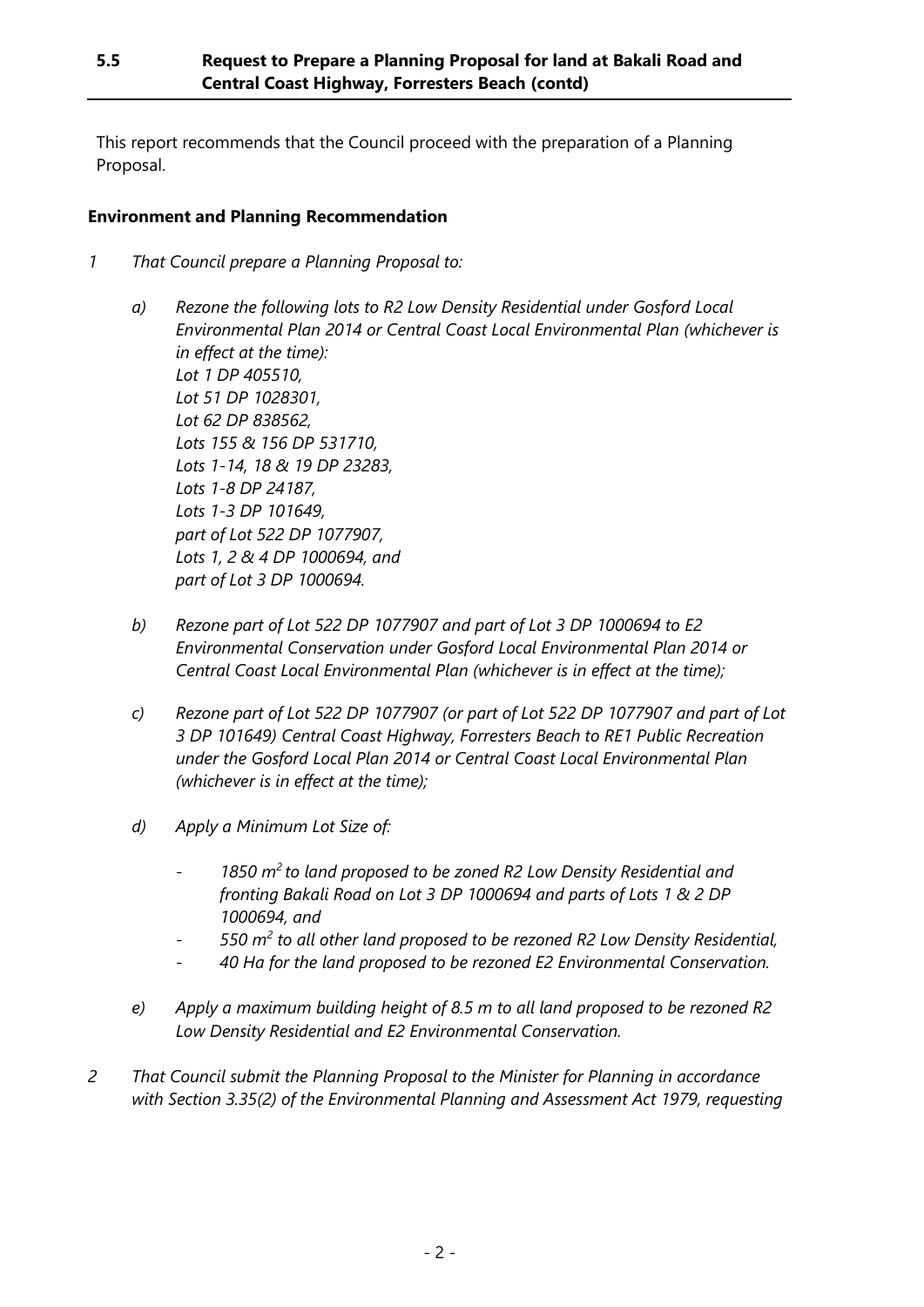This report recommends that the Council proceed with the preparation of a Planning Proposal.

### **Environment and Planning Recommendation**

- *1 That Council prepare a Planning Proposal to:*
	- *a) Rezone the following lots to R2 Low Density Residential under Gosford Local Environmental Plan 2014 or Central Coast Local Environmental Plan (whichever is in effect at the time): Lot 1 DP 405510, Lot 51 DP 1028301, Lot 62 DP 838562, Lots 155 & 156 DP 531710, Lots 1-14, 18 & 19 DP 23283, Lots 1-8 DP 24187, Lots 1-3 DP 101649, part of Lot 522 DP 1077907, Lots 1, 2 & 4 DP 1000694, and part of Lot 3 DP 1000694.*
	- *b) Rezone part of Lot 522 DP 1077907 and part of Lot 3 DP 1000694 to E2 Environmental Conservation under Gosford Local Environmental Plan 2014 or Central Coast Local Environmental Plan (whichever is in effect at the time);*
	- *c) Rezone part of Lot 522 DP 1077907 (or part of Lot 522 DP 1077907 and part of Lot 3 DP 101649) Central Coast Highway, Forresters Beach to RE1 Public Recreation under the Gosford Local Plan 2014 or Central Coast Local Environmental Plan (whichever is in effect at the time);*
	- *d) Apply a Minimum Lot Size of:*
		- *1850 m<sup>2</sup>to land proposed to be zoned R2 Low Density Residential and fronting Bakali Road on Lot 3 DP 1000694 and parts of Lots 1 & 2 DP 1000694, and*
		- *550 m<sup>2</sup> to all other land proposed to be rezoned R2 Low Density Residential,*
		- *40 Ha for the land proposed to be rezoned E2 Environmental Conservation.*
	- *e) Apply a maximum building height of 8.5 m to all land proposed to be rezoned R2 Low Density Residential and E2 Environmental Conservation.*
- *2 That Council submit the Planning Proposal to the Minister for Planning in accordance with Section 3.35(2) of the Environmental Planning and Assessment Act 1979, requesting*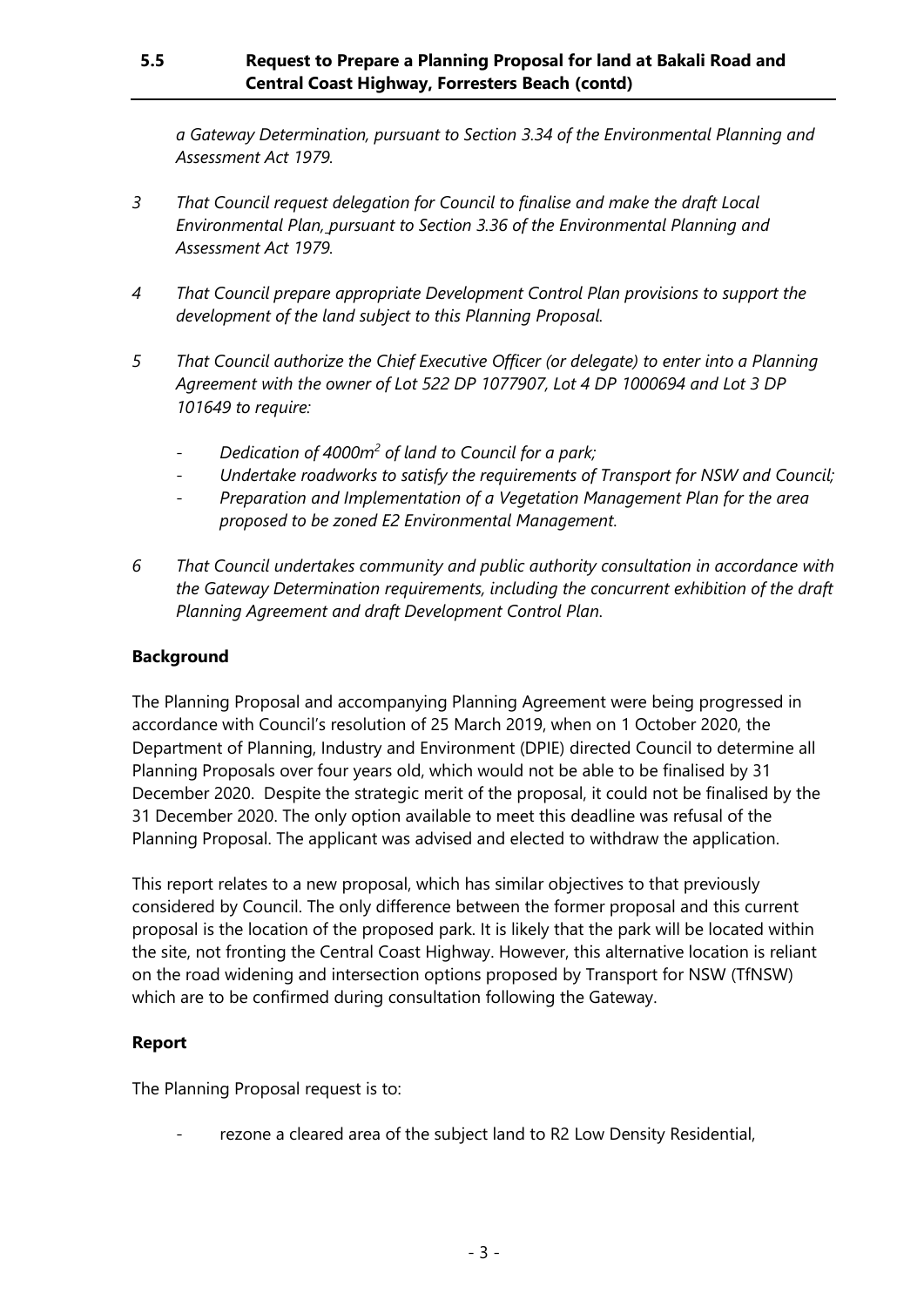# **5.5 Request to Prepare a Planning Proposal for land at Bakali Road and Central Coast Highway, Forresters Beach (contd)**

*a Gateway Determination, pursuant to Section 3.34 of the Environmental Planning and Assessment Act 1979.*

- *3 That Council request delegation for Council to finalise and make the draft Local Environmental Plan, pursuant to Section 3.36 of the Environmental Planning and Assessment Act 1979.*
- *4 That Council prepare appropriate Development Control Plan provisions to support the development of the land subject to this Planning Proposal.*
- *5 That Council authorize the Chief Executive Officer (or delegate) to enter into a Planning Agreement with the owner of Lot 522 DP 1077907, Lot 4 DP 1000694 and Lot 3 DP 101649 to require:*
	- *Dedication of 4000m<sup>2</sup> of land to Council for a park;*
	- *Undertake roadworks to satisfy the requirements of Transport for NSW and Council;*
	- *Preparation and Implementation of a Vegetation Management Plan for the area proposed to be zoned E2 Environmental Management.*
- *6 That Council undertakes community and public authority consultation in accordance with the Gateway Determination requirements, including the concurrent exhibition of the draft Planning Agreement and draft Development Control Plan.*

### **Background**

The Planning Proposal and accompanying Planning Agreement were being progressed in accordance with Council's resolution of 25 March 2019, when on 1 October 2020, the Department of Planning, Industry and Environment (DPIE) directed Council to determine all Planning Proposals over four years old, which would not be able to be finalised by 31 December 2020. Despite the strategic merit of the proposal, it could not be finalised by the 31 December 2020. The only option available to meet this deadline was refusal of the Planning Proposal. The applicant was advised and elected to withdraw the application.

This report relates to a new proposal, which has similar objectives to that previously considered by Council. The only difference between the former proposal and this current proposal is the location of the proposed park. It is likely that the park will be located within the site, not fronting the Central Coast Highway. However, this alternative location is reliant on the road widening and intersection options proposed by Transport for NSW (TfNSW) which are to be confirmed during consultation following the Gateway.

#### **Report**

The Planning Proposal request is to:

rezone a cleared area of the subject land to R2 Low Density Residential,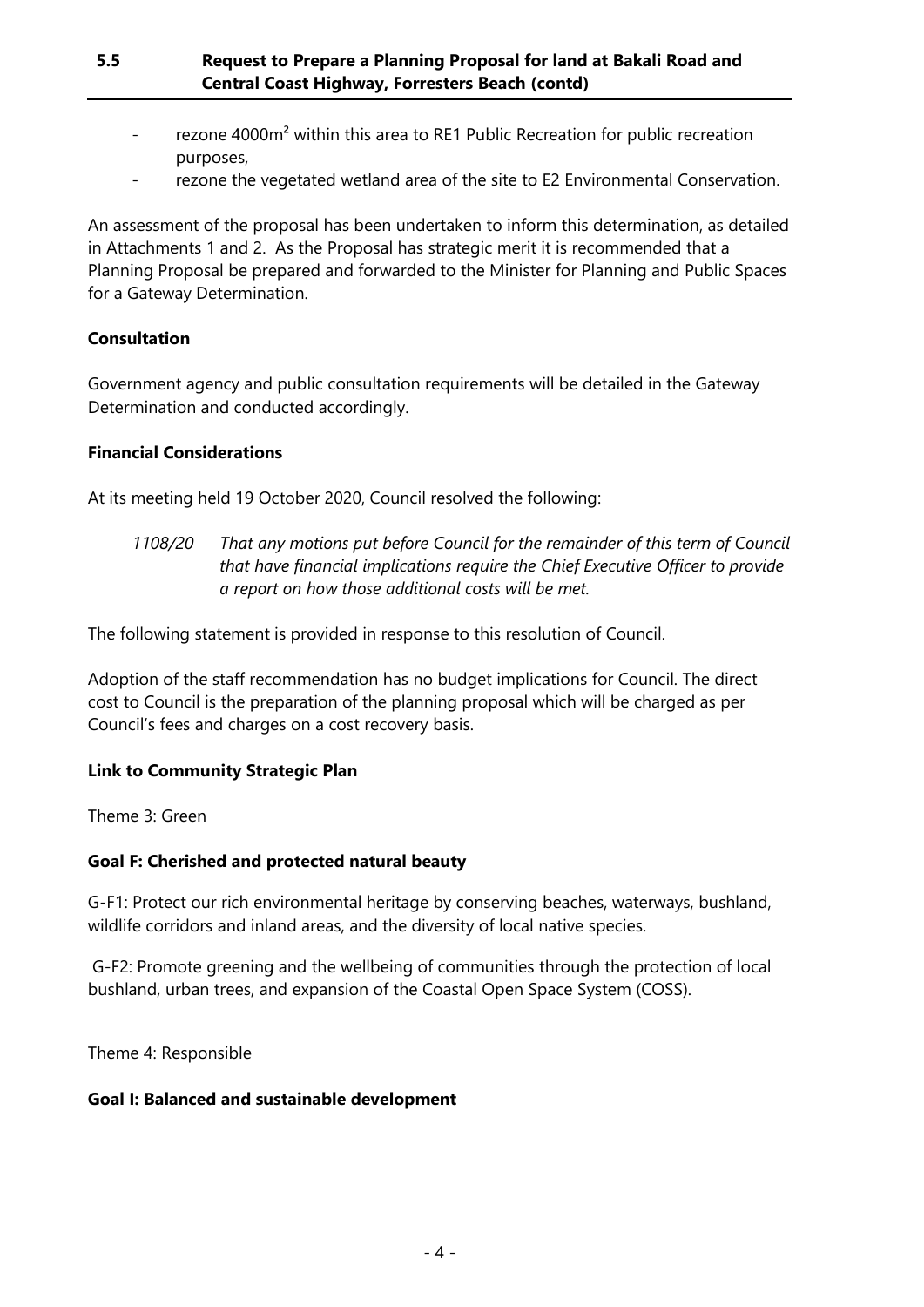- rezone 4000m<sup>2</sup> within this area to RE1 Public Recreation for public recreation purposes,
- rezone the vegetated wetland area of the site to E2 Environmental Conservation.

An assessment of the proposal has been undertaken to inform this determination, as detailed in Attachments 1 and 2. As the Proposal has strategic merit it is recommended that a Planning Proposal be prepared and forwarded to the Minister for Planning and Public Spaces for a Gateway Determination.

### **Consultation**

Government agency and public consultation requirements will be detailed in the Gateway Determination and conducted accordingly.

#### **Financial Considerations**

At its meeting held 19 October 2020, Council resolved the following:

*1108/20 That any motions put before Council for the remainder of this term of Council that have financial implications require the Chief Executive Officer to provide a report on how those additional costs will be met.*

The following statement is provided in response to this resolution of Council.

Adoption of the staff recommendation has no budget implications for Council. The direct cost to Council is the preparation of the planning proposal which will be charged as per Council's fees and charges on a cost recovery basis.

#### **Link to Community Strategic Plan**

Theme 3: Green

#### **Goal F: Cherished and protected natural beauty**

G-F1: Protect our rich environmental heritage by conserving beaches, waterways, bushland, wildlife corridors and inland areas, and the diversity of local native species.

G-F2: Promote greening and the wellbeing of communities through the protection of local bushland, urban trees, and expansion of the Coastal Open Space System (COSS).

Theme 4: Responsible

#### **Goal I: Balanced and sustainable development**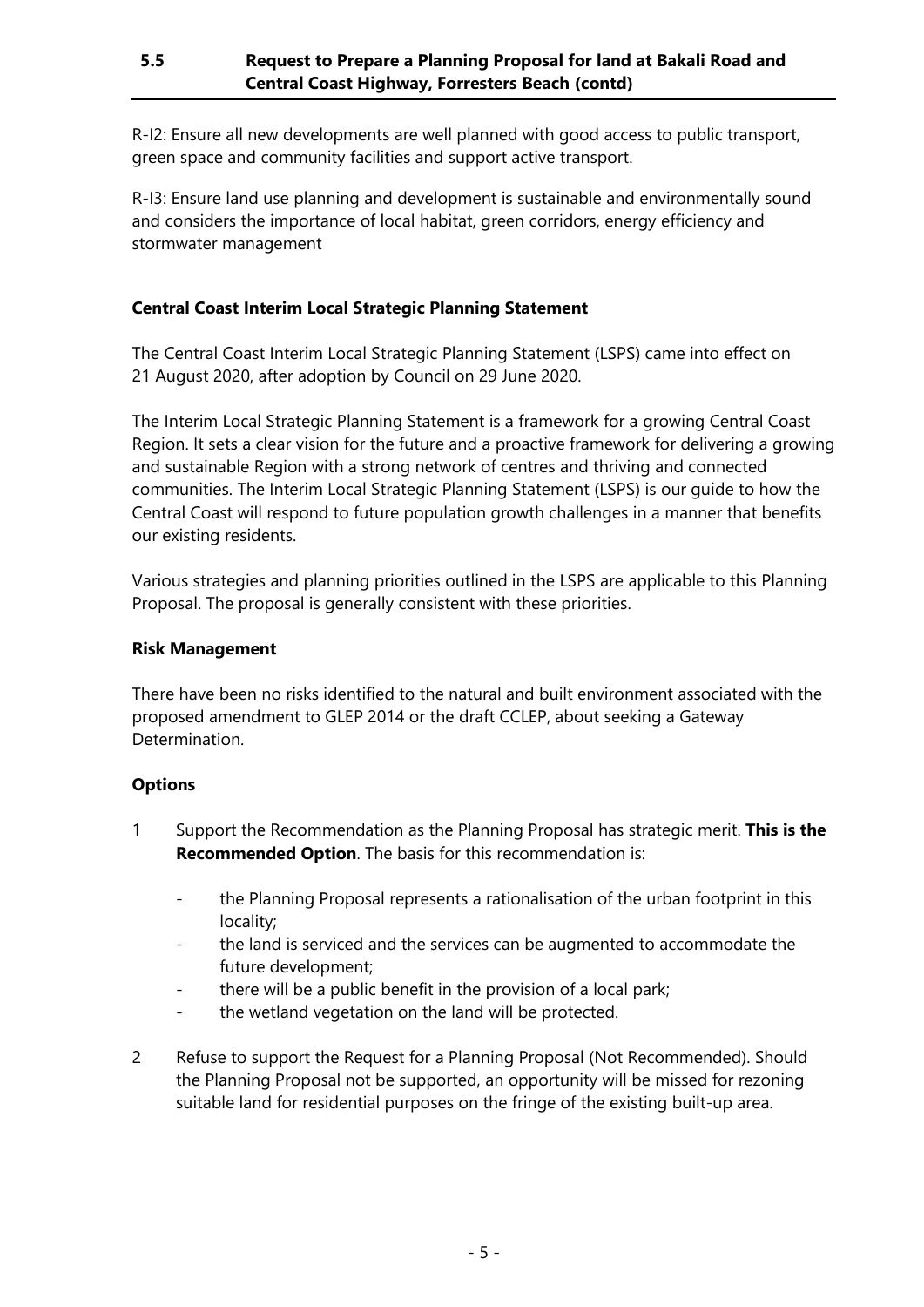R-I2: Ensure all new developments are well planned with good access to public transport, green space and community facilities and support active transport.

R-I3: Ensure land use planning and development is sustainable and environmentally sound and considers the importance of local habitat, green corridors, energy efficiency and stormwater management

# **Central Coast Interim Local Strategic Planning Statement**

The Central Coast Interim Local Strategic Planning Statement (LSPS) came into effect on 21 August 2020, after adoption by Council on 29 June 2020.

The Interim Local Strategic Planning Statement is a framework for a growing Central Coast Region. It sets a clear vision for the future and a proactive framework for delivering a growing and sustainable Region with a strong network of centres and thriving and connected communities. The Interim Local Strategic Planning Statement (LSPS) is our guide to how the Central Coast will respond to future population growth challenges in a manner that benefits our existing residents.

Various strategies and planning priorities outlined in the LSPS are applicable to this Planning Proposal. The proposal is generally consistent with these priorities.

#### **Risk Management**

There have been no risks identified to the natural and built environment associated with the proposed amendment to GLEP 2014 or the draft CCLEP, about seeking a Gateway Determination.

### **Options**

- 1 Support the Recommendation as the Planning Proposal has strategic merit. **This is the Recommended Option**. The basis for this recommendation is:
	- the Planning Proposal represents a rationalisation of the urban footprint in this locality;
	- the land is serviced and the services can be augmented to accommodate the future development;
	- there will be a public benefit in the provision of a local park;
	- the wetland vegetation on the land will be protected.
- 2 Refuse to support the Request for a Planning Proposal (Not Recommended). Should the Planning Proposal not be supported, an opportunity will be missed for rezoning suitable land for residential purposes on the fringe of the existing built-up area.